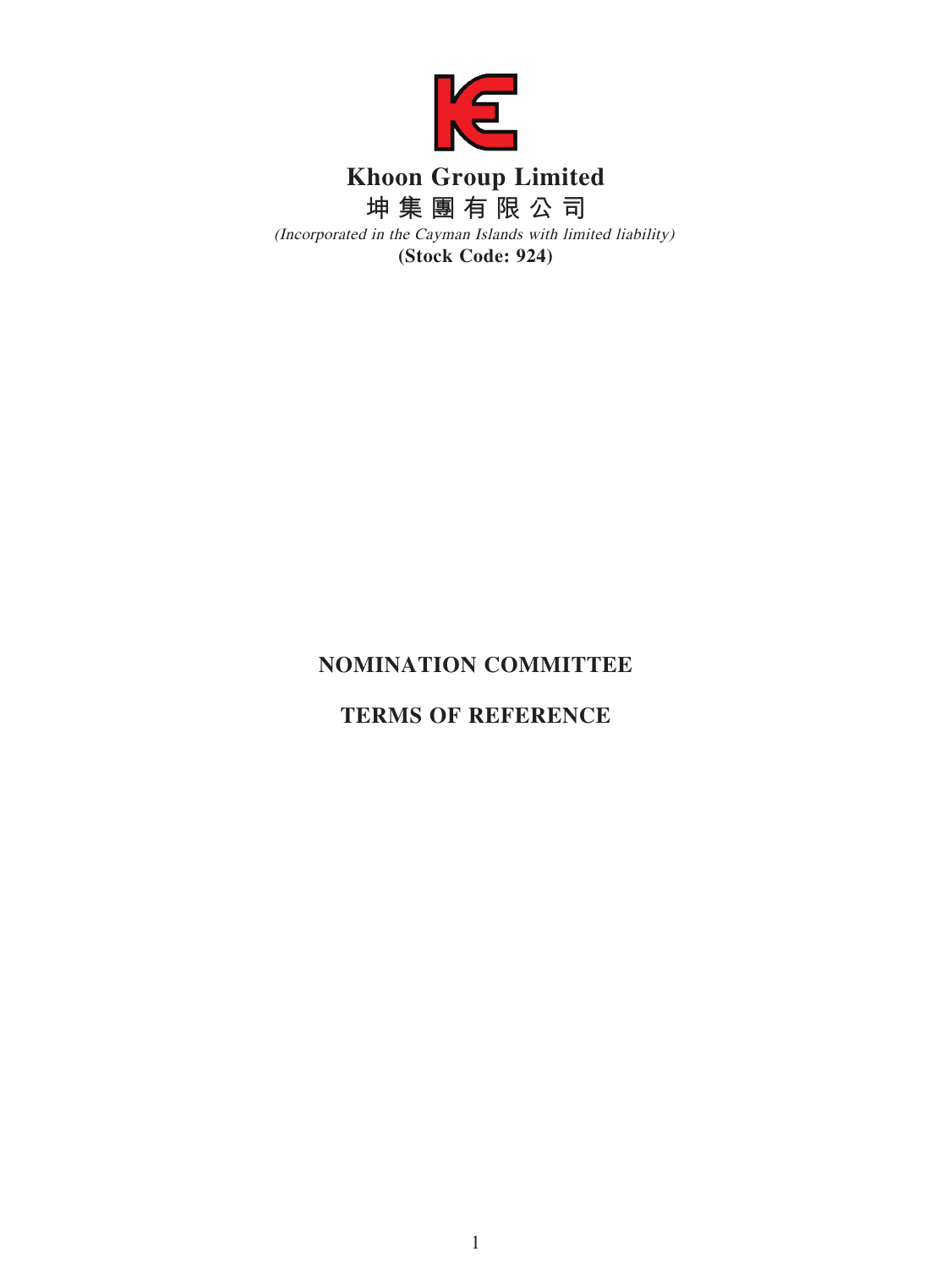

## **NOMINATION COMMITTEE**

# **TERMS OF REFERENCE**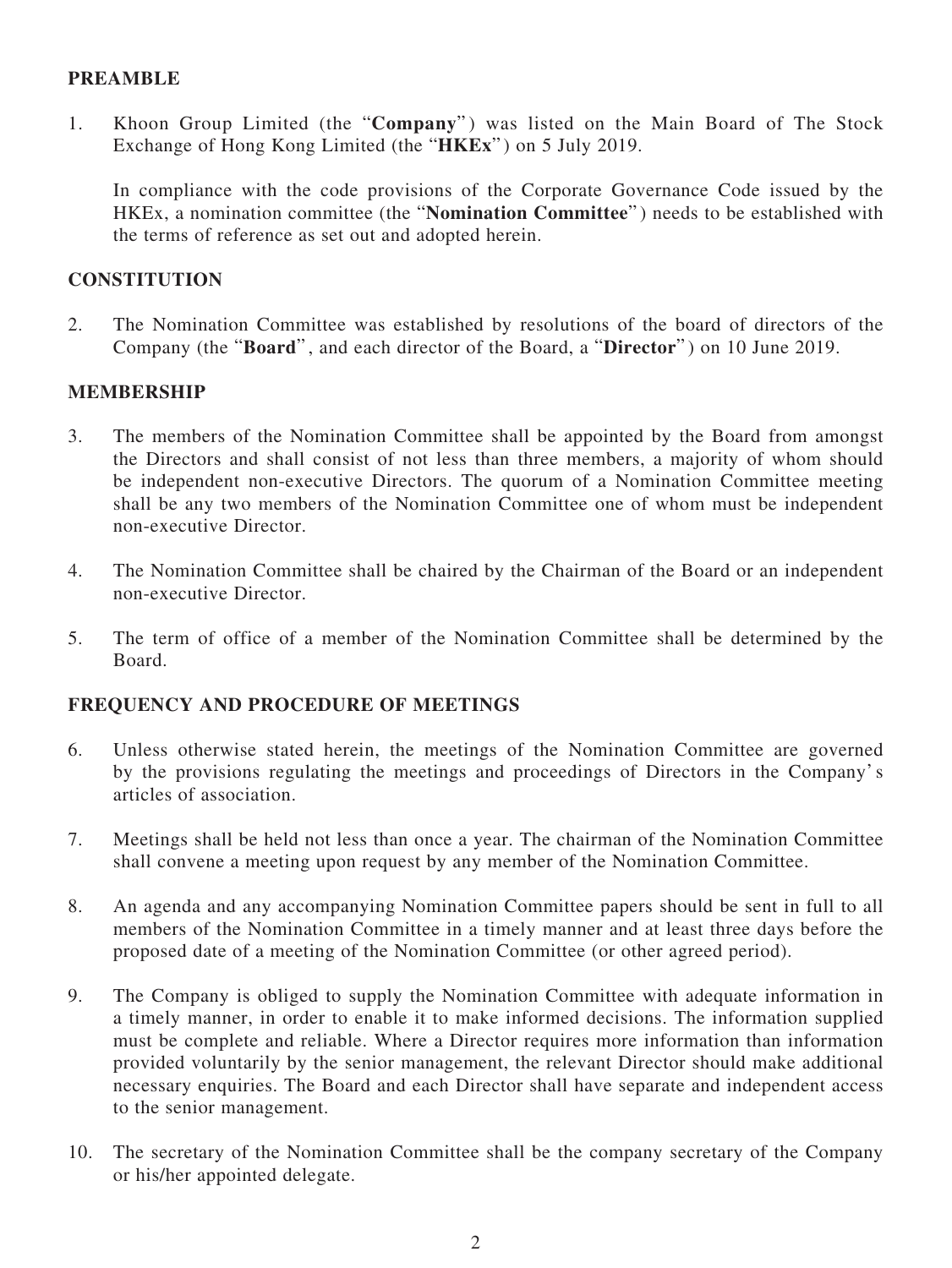## **PREAMBLE**

1. Khoon Group Limited (the "**Company**" ) was listed on the Main Board of The Stock Exchange of Hong Kong Limited (the "**HKEx**" ) on 5 July 2019.

In compliance with the code provisions of the Corporate Governance Code issued by the HKEx, a nomination committee (the "**Nomination Committee**" ) needs to be established with the terms of reference as set out and adopted herein.

## **CONSTITUTION**

2. The Nomination Committee was established by resolutions of the board of directors of the Company (the "**Board**" , and each director of the Board, a "**Director**" ) on 10 June 2019.

#### **MEMBERSHIP**

- 3. The members of the Nomination Committee shall be appointed by the Board from amongst the Directors and shall consist of not less than three members, a majority of whom should be independent non-executive Directors. The quorum of a Nomination Committee meeting shall be any two members of the Nomination Committee one of whom must be independent non-executive Director.
- 4. The Nomination Committee shall be chaired by the Chairman of the Board or an independent non-executive Director.
- 5. The term of office of a member of the Nomination Committee shall be determined by the Board.

#### **FREQUENCY AND PROCEDURE OF MEETINGS**

- 6. Unless otherwise stated herein, the meetings of the Nomination Committee are governed by the provisions regulating the meetings and proceedings of Directors in the Company's articles of association.
- 7. Meetings shall be held not less than once a year. The chairman of the Nomination Committee shall convene a meeting upon request by any member of the Nomination Committee.
- 8. An agenda and any accompanying Nomination Committee papers should be sent in full to all members of the Nomination Committee in a timely manner and at least three days before the proposed date of a meeting of the Nomination Committee (or other agreed period).
- 9. The Company is obliged to supply the Nomination Committee with adequate information in a timely manner, in order to enable it to make informed decisions. The information supplied must be complete and reliable. Where a Director requires more information than information provided voluntarily by the senior management, the relevant Director should make additional necessary enquiries. The Board and each Director shall have separate and independent access to the senior management.
- 10. The secretary of the Nomination Committee shall be the company secretary of the Company or his/her appointed delegate.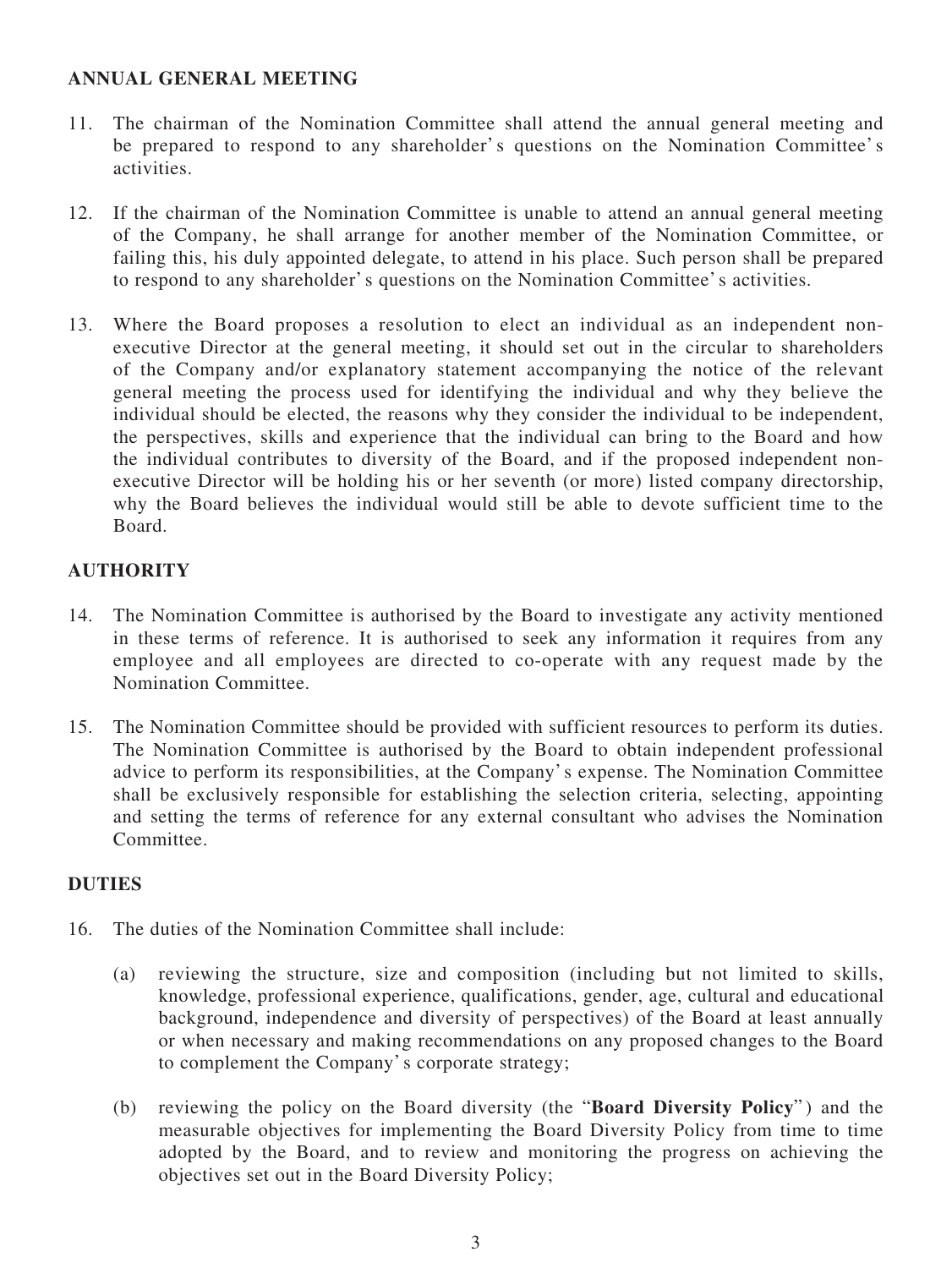## **ANNUAL GENERAL MEETING**

- 11. The chairman of the Nomination Committee shall attend the annual general meeting and be prepared to respond to any shareholder's questions on the Nomination Committee's activities.
- 12. If the chairman of the Nomination Committee is unable to attend an annual general meeting of the Company, he shall arrange for another member of the Nomination Committee, or failing this, his duly appointed delegate, to attend in his place. Such person shall be prepared to respond to any shareholder's questions on the Nomination Committee's activities.
- 13. Where the Board proposes a resolution to elect an individual as an independent nonexecutive Director at the general meeting, it should set out in the circular to shareholders of the Company and/or explanatory statement accompanying the notice of the relevant general meeting the process used for identifying the individual and why they believe the individual should be elected, the reasons why they consider the individual to be independent, the perspectives, skills and experience that the individual can bring to the Board and how the individual contributes to diversity of the Board, and if the proposed independent nonexecutive Director will be holding his or her seventh (or more) listed company directorship, why the Board believes the individual would still be able to devote sufficient time to the Board.

## **AUTHORITY**

- 14. The Nomination Committee is authorised by the Board to investigate any activity mentioned in these terms of reference. It is authorised to seek any information it requires from any employee and all employees are directed to co-operate with any request made by the Nomination Committee.
- 15. The Nomination Committee should be provided with sufficient resources to perform its duties. The Nomination Committee is authorised by the Board to obtain independent professional advice to perform its responsibilities, at the Company's expense. The Nomination Committee shall be exclusively responsible for establishing the selection criteria, selecting, appointing and setting the terms of reference for any external consultant who advises the Nomination **Committee**

## **DUTIES**

- 16. The duties of the Nomination Committee shall include:
	- (a) reviewing the structure, size and composition (including but not limited to skills, knowledge, professional experience, qualifications, gender, age, cultural and educational background, independence and diversity of perspectives) of the Board at least annually or when necessary and making recommendations on any proposed changes to the Board to complement the Company's corporate strategy;
	- (b) reviewing the policy on the Board diversity (the "**Board Diversity Policy**" ) and the measurable objectives for implementing the Board Diversity Policy from time to time adopted by the Board, and to review and monitoring the progress on achieving the objectives set out in the Board Diversity Policy;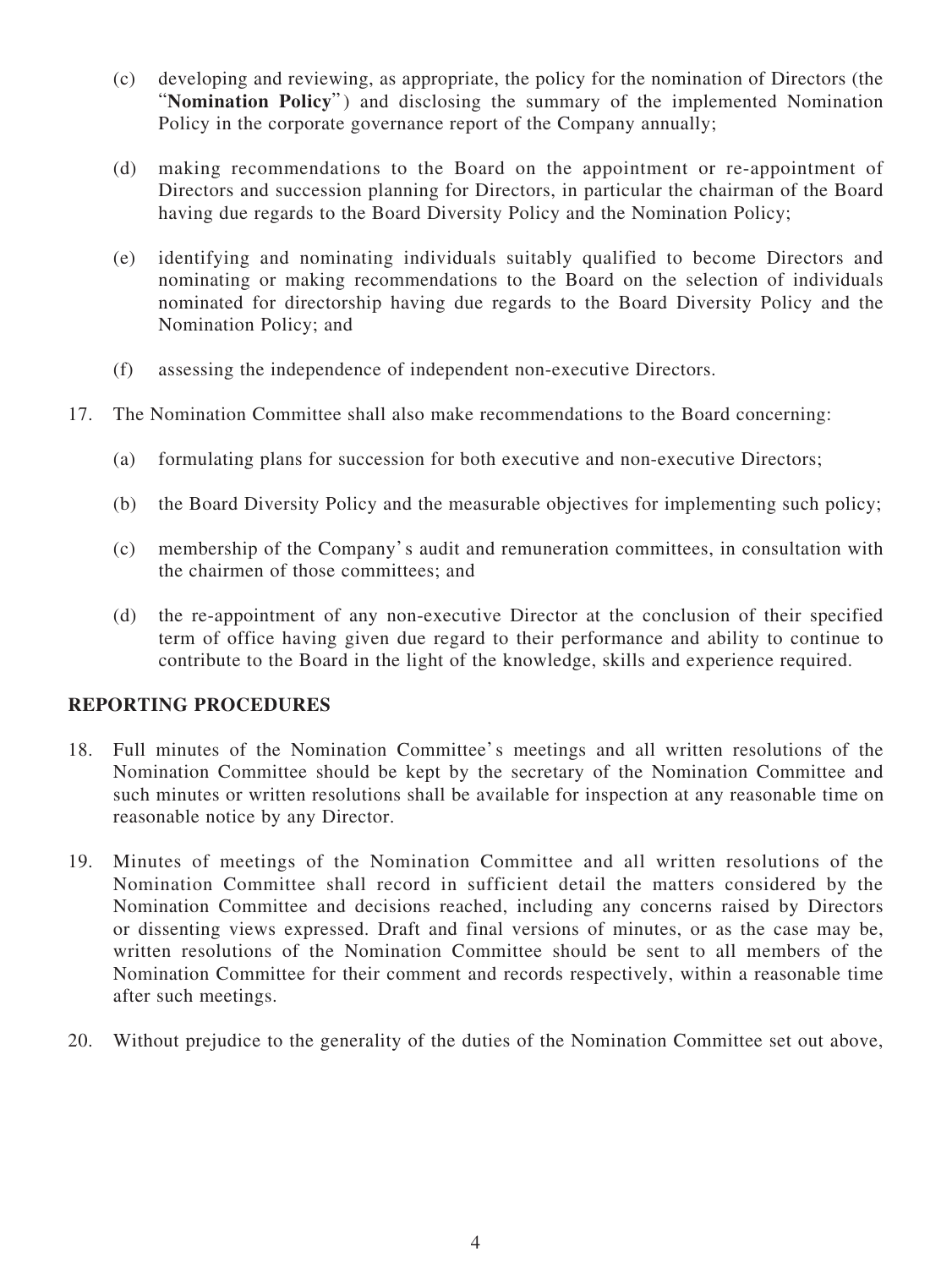- (c) developing and reviewing, as appropriate, the policy for the nomination of Directors (the "**Nomination Policy**") and disclosing the summary of the implemented Nomination Policy in the corporate governance report of the Company annually;
- (d) making recommendations to the Board on the appointment or re-appointment of Directors and succession planning for Directors, in particular the chairman of the Board having due regards to the Board Diversity Policy and the Nomination Policy;
- (e) identifying and nominating individuals suitably qualified to become Directors and nominating or making recommendations to the Board on the selection of individuals nominated for directorship having due regards to the Board Diversity Policy and the Nomination Policy; and
- (f) assessing the independence of independent non-executive Directors.
- 17. The Nomination Committee shall also make recommendations to the Board concerning:
	- (a) formulating plans for succession for both executive and non-executive Directors;
	- (b) the Board Diversity Policy and the measurable objectives for implementing such policy;
	- (c) membership of the Company's audit and remuneration committees, in consultation with the chairmen of those committees; and
	- (d) the re-appointment of any non-executive Director at the conclusion of their specified term of office having given due regard to their performance and ability to continue to contribute to the Board in the light of the knowledge, skills and experience required.

#### **REPORTING PROCEDURES**

- 18. Full minutes of the Nomination Committee's meetings and all written resolutions of the Nomination Committee should be kept by the secretary of the Nomination Committee and such minutes or written resolutions shall be available for inspection at any reasonable time on reasonable notice by any Director.
- 19. Minutes of meetings of the Nomination Committee and all written resolutions of the Nomination Committee shall record in sufficient detail the matters considered by the Nomination Committee and decisions reached, including any concerns raised by Directors or dissenting views expressed. Draft and final versions of minutes, or as the case may be, written resolutions of the Nomination Committee should be sent to all members of the Nomination Committee for their comment and records respectively, within a reasonable time after such meetings.
- 20. Without prejudice to the generality of the duties of the Nomination Committee set out above,